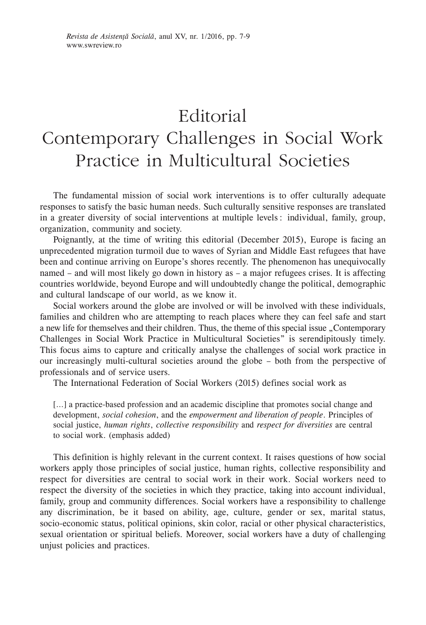## Editorial Contemporary Challenges in Social Work Practice in Multicultural Societies

The fundamental mission of social work interventions is to offer culturally adequate responses to satisfy the basic human needs. Such culturally sensitive responses are translated in a greater diversity of social interventions at multiple levels: individual, family, group, organization, community and society.

Poignantly, at the time of writing this editorial (December 2015), Europe is facing an unprecedented migration turmoil due to waves of Syrian and Middle East refugees that have been and continue arriving on Europe's shores recently. The phenomenon has unequivocally named – and will most likely go down in history as – a major refugees crises. It is affecting countries worldwide, beyond Europe and will undoubtedly change the political, demographic and cultural landscape of our world, as we know it.

Social workers around the globe are involved or will be involved with these individuals, families and children who are attempting to reach places where they can feel safe and start a new life for themselves and their children. Thus, the theme of this special issue "Contemporary Challenges in Social Work Practice in Multicultural Societies" is serendipitously timely. This focus aims to capture and critically analyse the challenges of social work practice in our increasingly multi-cultural societies around the globe – both from the perspective of professionals and of service users.

The International Federation of Social Workers (2015) defines social work as

[...] a practice-based profession and an academic discipline that promotes social change and development, *social cohesion*, and the *empowerment and liberation of people*. Principles of social justice, *human rights*, *collective responsibility* and *respect for diversities* are central to social work. (emphasis added)

This definition is highly relevant in the current context. It raises questions of how social workers apply those principles of social justice, human rights, collective responsibility and respect for diversities are central to social work in their work. Social workers need to respect the diversity of the societies in which they practice, taking into account individual, family, group and community differences. Social workers have a responsibility to challenge any discrimination, be it based on ability, age, culture, gender or sex, marital status, socio–economic status, political opinions, skin color, racial or other physical characteristics, sexual orientation or spiritual beliefs. Moreover, social workers have a duty of challenging unjust policies and practices.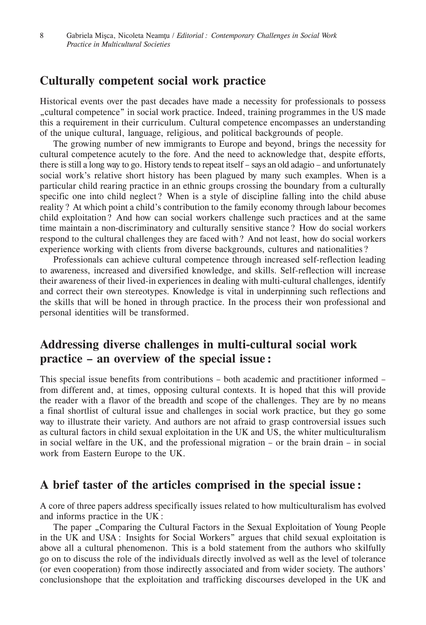## **Culturally competent social work practice**

Historical events over the past decades have made a necessity for professionals to possess "cultural competence" in social work practice. Indeed, training programmes in the US made this a requirement in their curriculum. Cultural competence encompasses an understanding of the unique cultural, language, religious, and political backgrounds of people.

The growing number of new immigrants to Europe and beyond, brings the necessity for cultural competence acutely to the fore. And the need to acknowledge that, despite efforts, there is still a long way to go. History tends to repeat itself – says an old adagio – and unfortunately social work's relative short history has been plagued by many such examples. When is a particular child rearing practice in an ethnic groups crossing the boundary from a culturally specific one into child neglect? When is a style of discipline falling into the child abuse reality? At which point a child's contribution to the family economy through labour becomes child exploitation? And how can social workers challenge such practices and at the same time maintain a non-discriminatory and culturally sensitive stance? How do social workers respond to the cultural challenges they are faced with? And not least, how do social workers experience working with clients from diverse backgrounds, cultures and nationalities?

Professionals can achieve cultural competence through increased self‑reflection leading to awareness, increased and diversified knowledge, and skills. Self‑reflection will increase their awareness of their lived–in experiences in dealing with multi-cultural challenges, identify and correct their own stereotypes. Knowledge is vital in underpinning such reflections and the skills that will be honed in through practice. In the process their won professional and personal identities will be transformed.

## **Addressing diverse challenges in multi‑cultural social work practice – an overview of the special issue:**

This special issue benefits from contributions – both academic and practitioner informed – from different and, at times, opposing cultural contexts. It is hoped that this will provide the reader with a flavor of the breadth and scope of the challenges. They are by no means a final shortlist of cultural issue and challenges in social work practice, but they go some way to illustrate their variety. And authors are not afraid to grasp controversial issues such as cultural factors in child sexual exploitation in the UK and US, the whiter multiculturalism in social welfare in the UK, and the professional migration – or the brain drain – in social work from Eastern Europe to the UK.

## **A brief taster of the articles comprised in the special issue:**

A core of three papers address specifically issues related to how multiculturalism has evolved and informs practice in the UK:

The paper "Comparing the Cultural Factors in the Sexual Exploitation of Young People in the UK and USA: Insights for Social Workers" argues that child sexual exploitation is above all a cultural phenomenon. This is a bold statement from the authors who skilfully go on to discuss the role of the individuals directly involved as well as the level of tolerance (or even cooperation) from those indirectly associated and from wider society. The authors' conclusionshope that the exploitation and trafficking discourses developed in the UK and